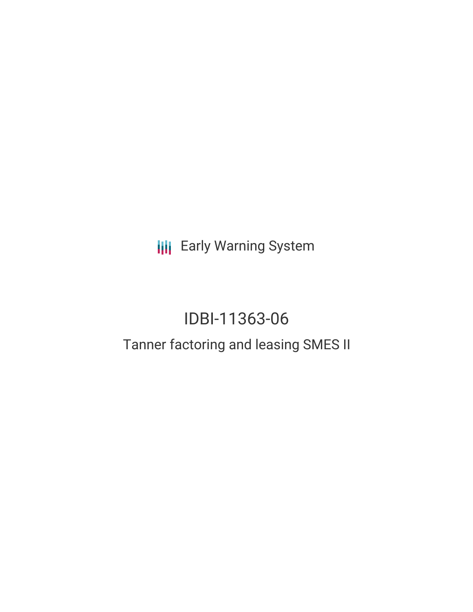**III** Early Warning System

# IDBI-11363-06

## Tanner factoring and leasing SMES II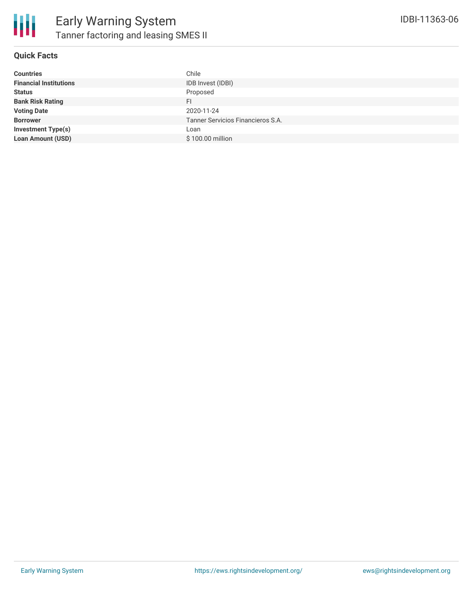

#### **Quick Facts**

| <b>Countries</b>              | Chile                             |
|-------------------------------|-----------------------------------|
| <b>Financial Institutions</b> | IDB Invest (IDBI)                 |
| <b>Status</b>                 | Proposed                          |
| <b>Bank Risk Rating</b>       | FI.                               |
| <b>Voting Date</b>            | 2020-11-24                        |
| <b>Borrower</b>               | Tanner Servicios Financieros S.A. |
| <b>Investment Type(s)</b>     | Loan                              |
| <b>Loan Amount (USD)</b>      | \$100.00 million                  |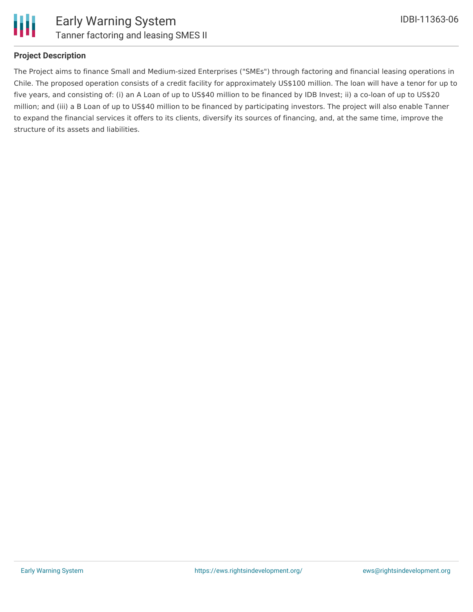

#### **Project Description**

The Project aims to finance Small and Medium-sized Enterprises ("SMEs") through factoring and financial leasing operations in Chile. The proposed operation consists of a credit facility for approximately US\$100 million. The loan will have a tenor for up to five years, and consisting of: (i) an A Loan of up to US\$40 million to be financed by IDB Invest; ii) a co-loan of up to US\$20 million; and (iii) a B Loan of up to US\$40 million to be financed by participating investors. The project will also enable Tanner to expand the financial services it offers to its clients, diversify its sources of financing, and, at the same time, improve the structure of its assets and liabilities.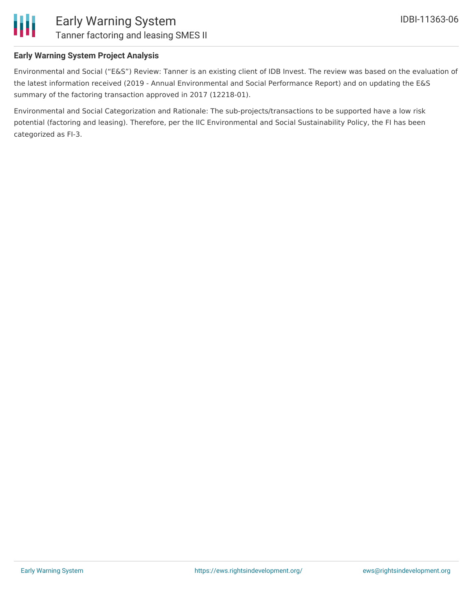

### Early Warning System Tanner factoring and leasing SMES II

#### **Early Warning System Project Analysis**

Environmental and Social ("E&S") Review: Tanner is an existing client of IDB Invest. The review was based on the evaluation of the latest information received (2019 - Annual Environmental and Social Performance Report) and on updating the E&S summary of the factoring transaction approved in 2017 (12218-01).

Environmental and Social Categorization and Rationale: The sub-projects/transactions to be supported have a low risk potential (factoring and leasing). Therefore, per the IIC Environmental and Social Sustainability Policy, the FI has been categorized as FI-3.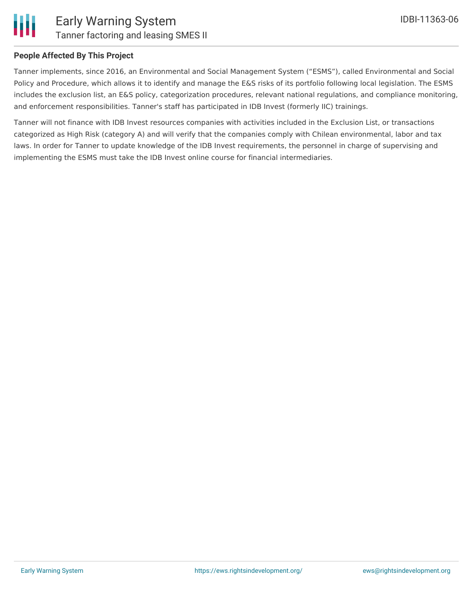

#### **People Affected By This Project**

Tanner implements, since 2016, an Environmental and Social Management System ("ESMS"), called Environmental and Social Policy and Procedure, which allows it to identify and manage the E&S risks of its portfolio following local legislation. The ESMS includes the exclusion list, an E&S policy, categorization procedures, relevant national regulations, and compliance monitoring, and enforcement responsibilities. Tanner's staff has participated in IDB Invest (formerly IIC) trainings.

Tanner will not finance with IDB Invest resources companies with activities included in the Exclusion List, or transactions categorized as High Risk (category A) and will verify that the companies comply with Chilean environmental, labor and tax laws. In order for Tanner to update knowledge of the IDB Invest requirements, the personnel in charge of supervising and implementing the ESMS must take the IDB Invest online course for financial intermediaries.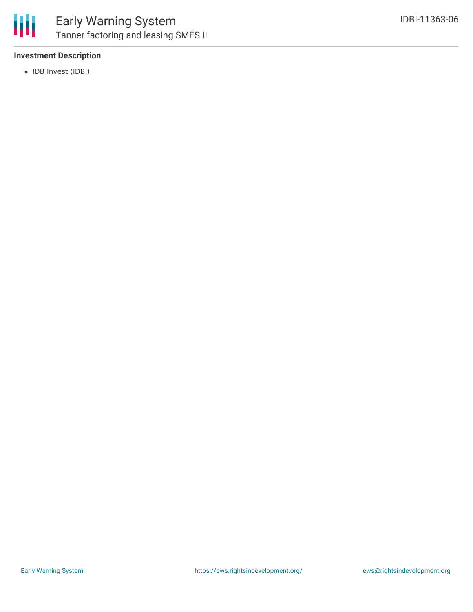

#### **Investment Description**

• IDB Invest (IDBI)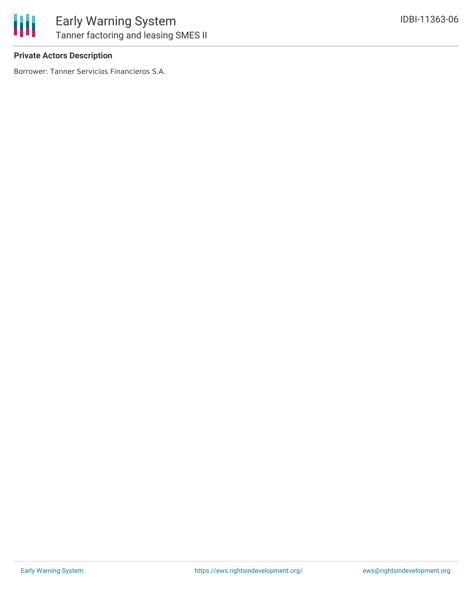

#### **Private Actors Description**

Borrower: Tanner Servicios Financieros S.A.